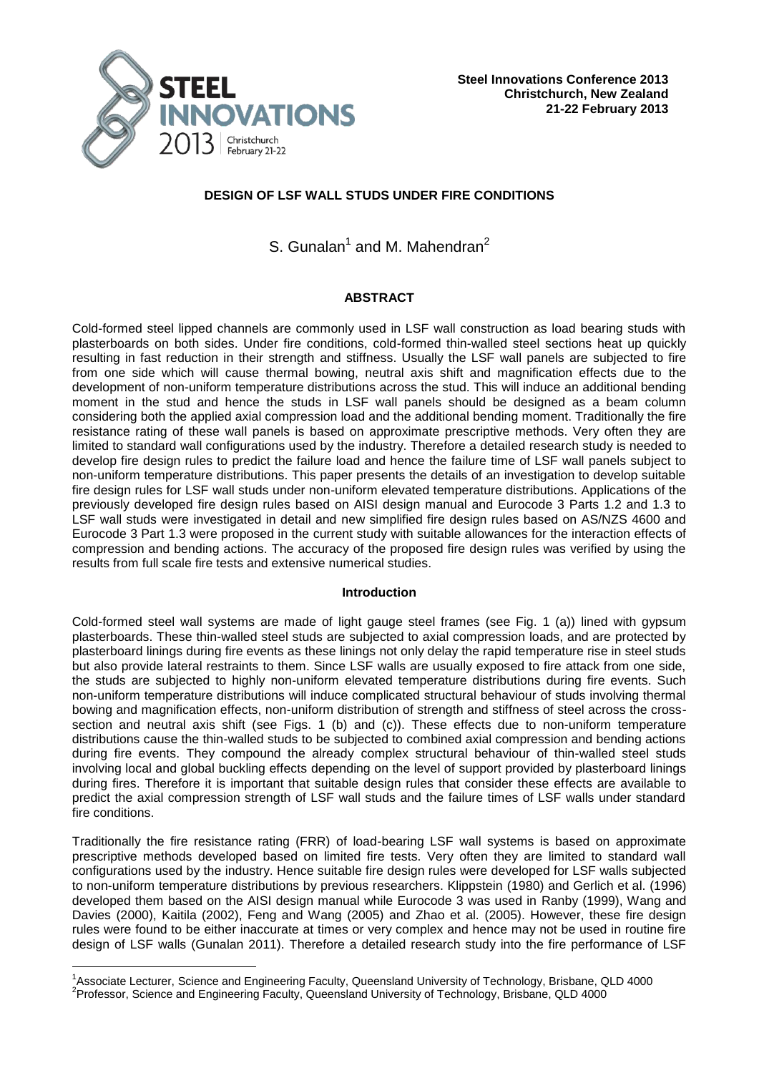

# **DESIGN OF LSF WALL STUDS UNDER FIRE CONDITIONS**

S. Gunalan<sup>1</sup> and M. Mahendran<sup>2</sup>

# **ABSTRACT**

Cold-formed steel lipped channels are commonly used in LSF wall construction as load bearing studs with plasterboards on both sides. Under fire conditions, cold-formed thin-walled steel sections heat up quickly resulting in fast reduction in their strength and stiffness. Usually the LSF wall panels are subjected to fire from one side which will cause thermal bowing, neutral axis shift and magnification effects due to the development of non-uniform temperature distributions across the stud. This will induce an additional bending moment in the stud and hence the studs in LSF wall panels should be designed as a beam column considering both the applied axial compression load and the additional bending moment. Traditionally the fire resistance rating of these wall panels is based on approximate prescriptive methods. Very often they are limited to standard wall configurations used by the industry. Therefore a detailed research study is needed to develop fire design rules to predict the failure load and hence the failure time of LSF wall panels subject to non-uniform temperature distributions. This paper presents the details of an investigation to develop suitable fire design rules for LSF wall studs under non-uniform elevated temperature distributions. Applications of the previously developed fire design rules based on AISI design manual and Eurocode 3 Parts 1.2 and 1.3 to LSF wall studs were investigated in detail and new simplified fire design rules based on AS/NZS 4600 and Eurocode 3 Part 1.3 were proposed in the current study with suitable allowances for the interaction effects of compression and bending actions. The accuracy of the proposed fire design rules was verified by using the results from full scale fire tests and extensive numerical studies.

## **Introduction**

Cold-formed steel wall systems are made of light gauge steel frames (see Fig. 1 (a)) lined with gypsum plasterboards. These thin-walled steel studs are subjected to axial compression loads, and are protected by plasterboard linings during fire events as these linings not only delay the rapid temperature rise in steel studs but also provide lateral restraints to them. Since LSF walls are usually exposed to fire attack from one side, the studs are subjected to highly non-uniform elevated temperature distributions during fire events. Such non-uniform temperature distributions will induce complicated structural behaviour of studs involving thermal bowing and magnification effects, non-uniform distribution of strength and stiffness of steel across the crosssection and neutral axis shift (see Figs. 1 (b) and (c)). These effects due to non-uniform temperature distributions cause the thin-walled studs to be subjected to combined axial compression and bending actions during fire events. They compound the already complex structural behaviour of thin-walled steel studs involving local and global buckling effects depending on the level of support provided by plasterboard linings during fires. Therefore it is important that suitable design rules that consider these effects are available to predict the axial compression strength of LSF wall studs and the failure times of LSF walls under standard fire conditions.

Traditionally the fire resistance rating (FRR) of load-bearing LSF wall systems is based on approximate prescriptive methods developed based on limited fire tests. Very often they are limited to standard wall configurations used by the industry. Hence suitable fire design rules were developed for LSF walls subjected to non-uniform temperature distributions by previous researchers. Klippstein (1980) and Gerlich et al. (1996) developed them based on the AISI design manual while Eurocode 3 was used in Ranby (1999), Wang and Davies (2000), Kaitila (2002), Feng and Wang (2005) and Zhao et al. (2005). However, these fire design rules were found to be either inaccurate at times or very complex and hence may not be used in routine fire design of LSF walls (Gunalan 2011). Therefore a detailed research study into the fire performance of LSF

-

<sup>&</sup>lt;sup>1</sup>Associate Lecturer, Science and Engineering Faculty, Queensland University of Technology, Brisbane, QLD 4000 <sup>2</sup> Professor, Science and Engineering Faculty, Queensland University of Technology, Brisbane, QLD 4000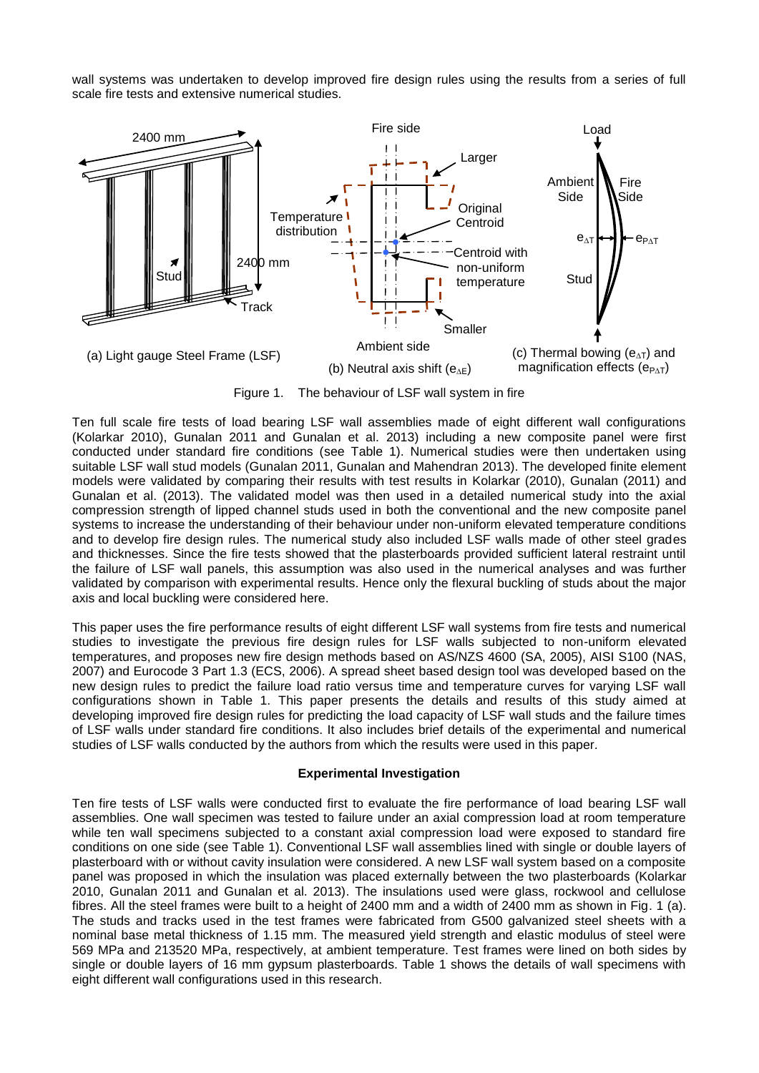wall systems was undertaken to develop improved fire design rules using the results from a series of full scale fire tests and extensive numerical studies.



Figure 1. The behaviour of LSF wall system in fire

Ten full scale fire tests of load bearing LSF wall assemblies made of eight different wall configurations (Kolarkar 2010), Gunalan 2011 and Gunalan et al. 2013) including a new composite panel were first conducted under standard fire conditions (see Table 1). Numerical studies were then undertaken using suitable LSF wall stud models (Gunalan 2011, Gunalan and Mahendran 2013). The developed finite element models were validated by comparing their results with test results in Kolarkar (2010), Gunalan (2011) and Gunalan et al. (2013). The validated model was then used in a detailed numerical study into the axial compression strength of lipped channel studs used in both the conventional and the new composite panel systems to increase the understanding of their behaviour under non-uniform elevated temperature conditions and to develop fire design rules. The numerical study also included LSF walls made of other steel grades and thicknesses. Since the fire tests showed that the plasterboards provided sufficient lateral restraint until the failure of LSF wall panels, this assumption was also used in the numerical analyses and was further validated by comparison with experimental results. Hence only the flexural buckling of studs about the major axis and local buckling were considered here.

This paper uses the fire performance results of eight different LSF wall systems from fire tests and numerical studies to investigate the previous fire design rules for LSF walls subjected to non-uniform elevated temperatures, and proposes new fire design methods based on AS/NZS 4600 (SA, 2005), AISI S100 (NAS, 2007) and Eurocode 3 Part 1.3 (ECS, 2006). A spread sheet based design tool was developed based on the new design rules to predict the failure load ratio versus time and temperature curves for varying LSF wall configurations shown in Table 1. This paper presents the details and results of this study aimed at developing improved fire design rules for predicting the load capacity of LSF wall studs and the failure times of LSF walls under standard fire conditions. It also includes brief details of the experimental and numerical studies of LSF walls conducted by the authors from which the results were used in this paper.

## **Experimental Investigation**

Ten fire tests of LSF walls were conducted first to evaluate the fire performance of load bearing LSF wall assemblies. One wall specimen was tested to failure under an axial compression load at room temperature while ten wall specimens subjected to a constant axial compression load were exposed to standard fire conditions on one side (see Table 1). Conventional LSF wall assemblies lined with single or double layers of plasterboard with or without cavity insulation were considered. A new LSF wall system based on a composite panel was proposed in which the insulation was placed externally between the two plasterboards (Kolarkar 2010, Gunalan 2011 and Gunalan et al. 2013). The insulations used were glass, rockwool and cellulose fibres. All the steel frames were built to a height of 2400 mm and a width of 2400 mm as shown in Fig. 1 (a). The studs and tracks used in the test frames were fabricated from G500 galvanized steel sheets with a nominal base metal thickness of 1.15 mm. The measured yield strength and elastic modulus of steel were 569 MPa and 213520 MPa, respectively, at ambient temperature. Test frames were lined on both sides by single or double layers of 16 mm gypsum plasterboards. Table 1 shows the details of wall specimens with eight different wall configurations used in this research.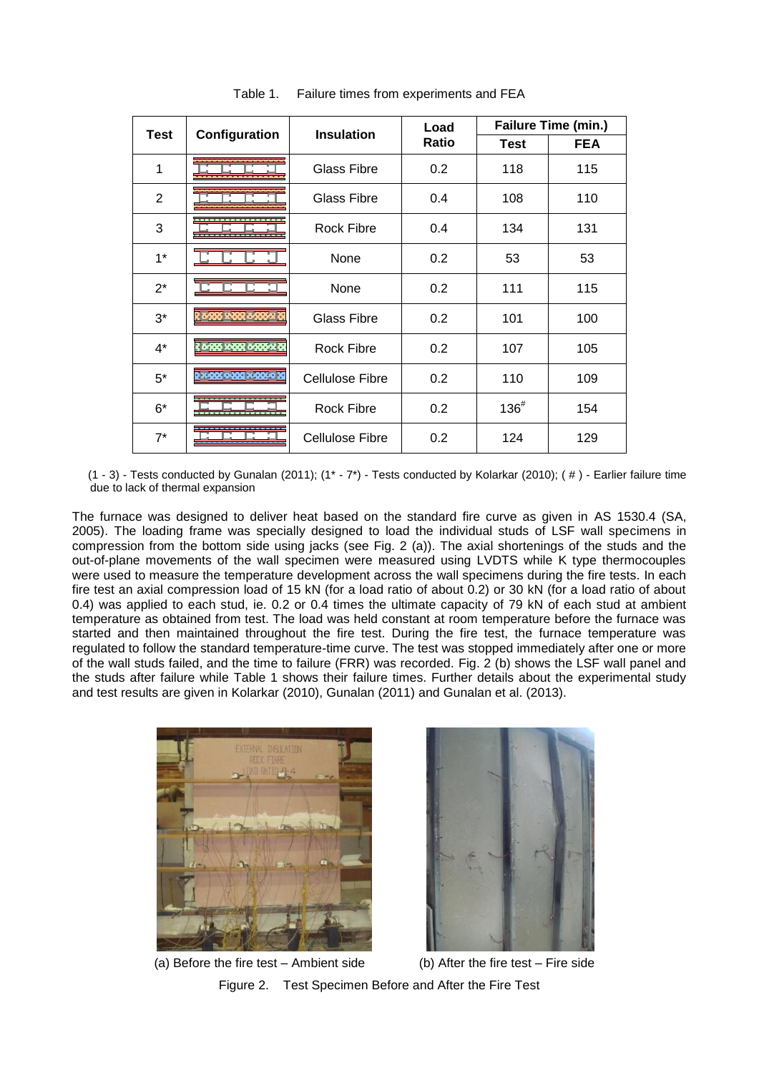| <b>Test</b>    |                              | <b>Insulation</b>      | Load  | Failure Time (min.) |            |  |
|----------------|------------------------------|------------------------|-------|---------------------|------------|--|
|                | Configuration                |                        | Ratio | <b>Test</b>         | <b>FEA</b> |  |
| 1              |                              | Glass Fibre            | 0.2   | 118                 | 115        |  |
| $\overline{2}$ |                              | <b>Glass Fibre</b>     | 0.4   | 108                 | 110        |  |
| 3              |                              | Rock Fibre             | 0.4   | 134                 | 131        |  |
| $1^*$          |                              | None                   | 0.2   | 53                  | 53         |  |
| $2^*$          |                              | None                   | 0.2   | 111                 | 115        |  |
| $3^*$          | Ro <mark>da ada</mark> ogaya | <b>Glass Fibre</b>     | 0.2   | 101                 | 100        |  |
| $4^*$          | 8000 x000 0000x              | Rock Fibre             | 0.2   | 107                 | 105        |  |
| $5^*$          |                              | Cellulose Fibre        | 0.2   | 110                 | 109        |  |
| 6*             |                              | <b>Rock Fibre</b>      | 0.2   | $136^{#}$           | 154        |  |
| $7^*$          |                              | <b>Cellulose Fibre</b> | 0.2   | 124                 | 129        |  |

Table 1. Failure times from experiments and FEA

(1 - 3) - Tests conducted by Gunalan (2011); (1\* - 7\*) - Tests conducted by Kolarkar (2010); ( # ) - Earlier failure time due to lack of thermal expansion

The furnace was designed to deliver heat based on the standard fire curve as given in AS 1530.4 (SA, 2005). The loading frame was specially designed to load the individual studs of LSF wall specimens in compression from the bottom side using jacks (see Fig. 2 (a)). The axial shortenings of the studs and the out-of-plane movements of the wall specimen were measured using LVDTS while K type thermocouples were used to measure the temperature development across the wall specimens during the fire tests. In each fire test an axial compression load of 15 kN (for a load ratio of about 0.2) or 30 kN (for a load ratio of about 0.4) was applied to each stud, ie. 0.2 or 0.4 times the ultimate capacity of 79 kN of each stud at ambient temperature as obtained from test. The load was held constant at room temperature before the furnace was started and then maintained throughout the fire test. During the fire test, the furnace temperature was regulated to follow the standard temperature-time curve. The test was stopped immediately after one or more of the wall studs failed, and the time to failure (FRR) was recorded. Fig. 2 (b) shows the LSF wall panel and the studs after failure while Table 1 shows their failure times. Further details about the experimental study and test results are given in Kolarkar (2010), Gunalan (2011) and Gunalan et al. (2013).





(a) Before the fire test – Ambient side  $($ b) After the fire test – Fire side Figure 2. Test Specimen Before and After the Fire Test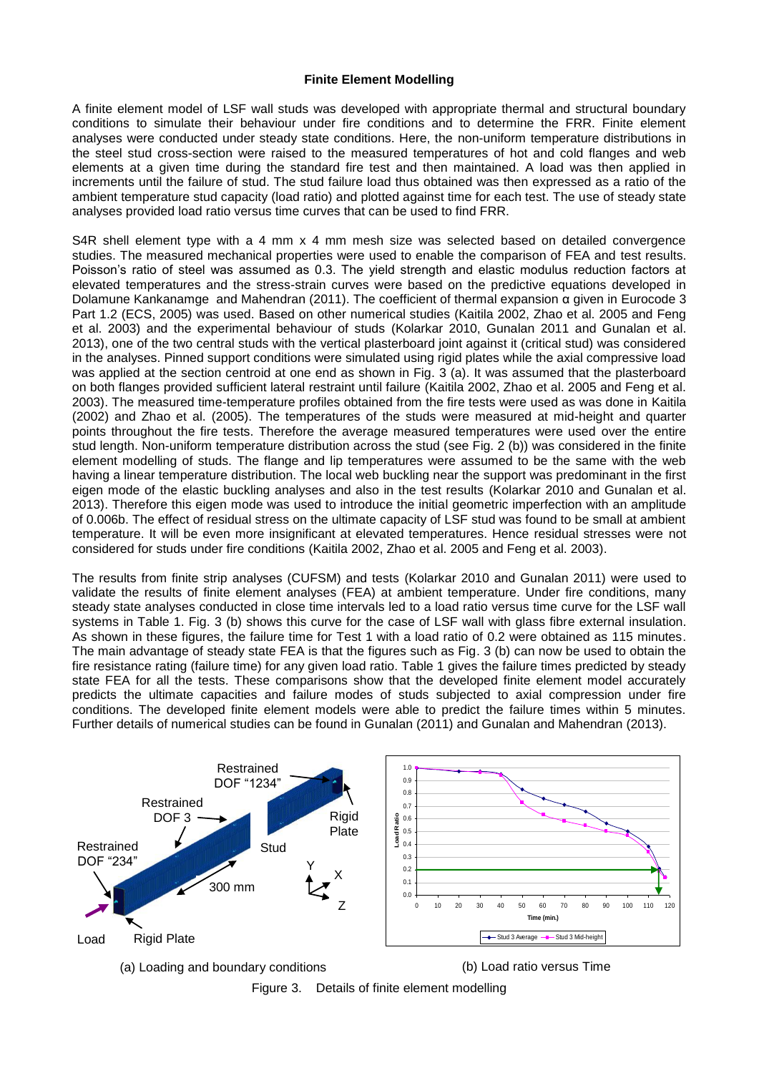## **Finite Element Modelling**

A finite element model of LSF wall studs was developed with appropriate thermal and structural boundary conditions to simulate their behaviour under fire conditions and to determine the FRR. Finite element analyses were conducted under steady state conditions. Here, the non-uniform temperature distributions in the steel stud cross-section were raised to the measured temperatures of hot and cold flanges and web elements at a given time during the standard fire test and then maintained. A load was then applied in increments until the failure of stud. The stud failure load thus obtained was then expressed as a ratio of the ambient temperature stud capacity (load ratio) and plotted against time for each test. The use of steady state analyses provided load ratio versus time curves that can be used to find FRR.

S4R shell element type with a 4 mm x 4 mm mesh size was selected based on detailed convergence studies. The measured mechanical properties were used to enable the comparison of FEA and test results. Poisson's ratio of steel was assumed as 0.3. The yield strength and elastic modulus reduction factors at elevated temperatures and the stress-strain curves were based on the predictive equations developed in Dolamune Kankanamge and Mahendran (2011). The coefficient of thermal expansion α given in Eurocode 3 Part 1.2 (ECS, 2005) was used. Based on other numerical studies (Kaitila 2002, Zhao et al. 2005 and Feng et al. 2003) and the experimental behaviour of studs (Kolarkar 2010, Gunalan 2011 and Gunalan et al. 2013), one of the two central studs with the vertical plasterboard joint against it (critical stud) was considered in the analyses. Pinned support conditions were simulated using rigid plates while the axial compressive load was applied at the section centroid at one end as shown in Fig. 3 (a). It was assumed that the plasterboard on both flanges provided sufficient lateral restraint until failure (Kaitila 2002, Zhao et al. 2005 and Feng et al. 2003). The measured time-temperature profiles obtained from the fire tests were used as was done in Kaitila (2002) and Zhao et al. (2005). The temperatures of the studs were measured at mid-height and quarter points throughout the fire tests. Therefore the average measured temperatures were used over the entire stud length. Non-uniform temperature distribution across the stud (see Fig. 2 (b)) was considered in the finite element modelling of studs. The flange and lip temperatures were assumed to be the same with the web having a linear temperature distribution. The local web buckling near the support was predominant in the first eigen mode of the elastic buckling analyses and also in the test results (Kolarkar 2010 and Gunalan et al. 2013). Therefore this eigen mode was used to introduce the initial geometric imperfection with an amplitude of 0.006b. The effect of residual stress on the ultimate capacity of LSF stud was found to be small at ambient temperature. It will be even more insignificant at elevated temperatures. Hence residual stresses were not considered for studs under fire conditions (Kaitila 2002, Zhao et al. 2005 and Feng et al. 2003).

The results from finite strip analyses (CUFSM) and tests (Kolarkar 2010 and Gunalan 2011) were used to validate the results of finite element analyses (FEA) at ambient temperature. Under fire conditions, many steady state analyses conducted in close time intervals led to a load ratio versus time curve for the LSF wall systems in Table 1. Fig. 3 (b) shows this curve for the case of LSF wall with glass fibre external insulation. As shown in these figures, the failure time for Test 1 with a load ratio of 0.2 were obtained as 115 minutes. The main advantage of steady state FEA is that the figures such as Fig. 3 (b) can now be used to obtain the fire resistance rating (failure time) for any given load ratio. Table 1 gives the failure times predicted by steady state FEA for all the tests. These comparisons show that the developed finite element model accurately predicts the ultimate capacities and failure modes of studs subjected to axial compression under fire conditions. The developed finite element models were able to predict the failure times within 5 minutes. Further details of numerical studies can be found in Gunalan (2011) and Gunalan and Mahendran (2013).



(a) Loading and boundary conditions (b) Load ratio versus Time



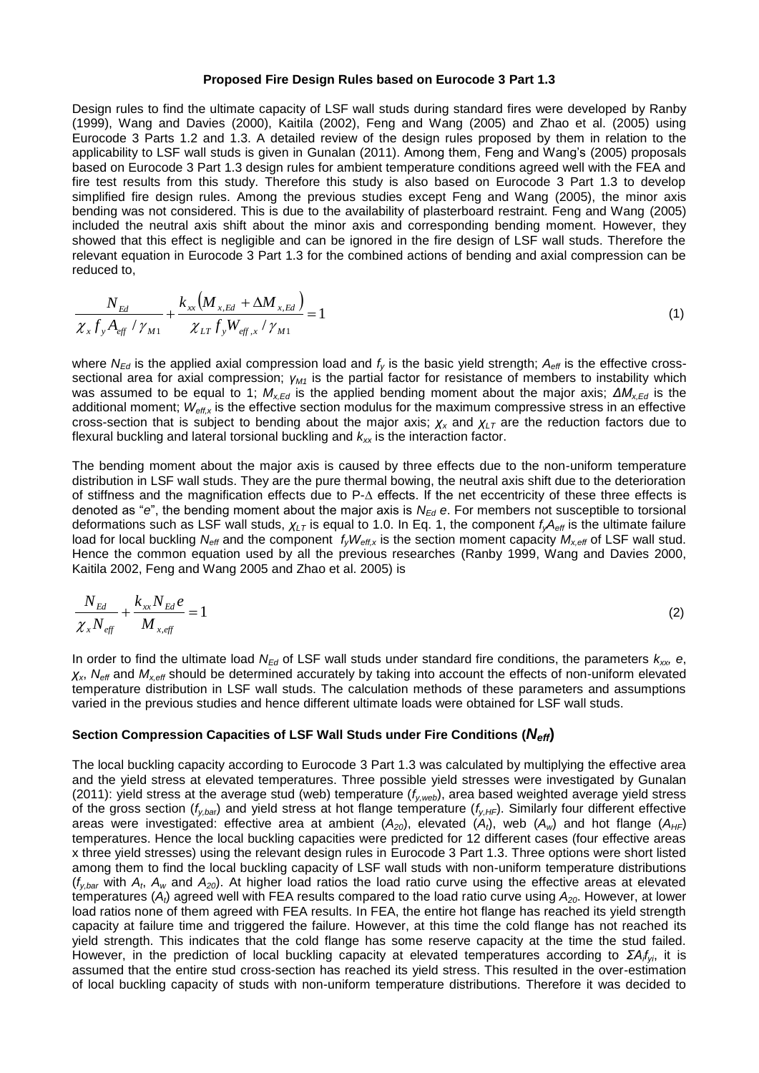#### **Proposed Fire Design Rules based on Eurocode 3 Part 1.3**

Design rules to find the ultimate capacity of LSF wall studs during standard fires were developed by Ranby (1999), Wang and Davies (2000), Kaitila (2002), Feng and Wang (2005) and Zhao et al. (2005) using Eurocode 3 Parts 1.2 and 1.3. A detailed review of the design rules proposed by them in relation to the applicability to LSF wall studs is given in Gunalan (2011). Among them, Feng and Wang's (2005) proposals based on Eurocode 3 Part 1.3 design rules for ambient temperature conditions agreed well with the FEA and fire test results from this study. Therefore this study is also based on Eurocode 3 Part 1.3 to develop simplified fire design rules. Among the previous studies except Feng and Wang (2005), the minor axis bending was not considered. This is due to the availability of plasterboard restraint. Feng and Wang (2005) included the neutral axis shift about the minor axis and corresponding bending moment. However, they showed that this effect is negligible and can be ignored in the fire design of LSF wall studs. Therefore the relevant equation in Eurocode 3 Part 1.3 for the combined actions of bending and axial compression can be reduced to,

$$
\frac{N_{Ed}}{\chi_{x}f_{y}A_{eff}} + \frac{k_{xx}(M_{x,Ed} + \Delta M_{x,Ed})}{\chi_{LT}f_{y}W_{eff,x}/\gamma_{M1}} = 1
$$
\n(1)

where  $N_{Eq}$  is the applied axial compression load and  $f_v$  is the basic yield strength;  $A_{eff}$  is the effective crosssectional area for axial compression; *γM1* is the partial factor for resistance of members to instability which was assumed to be equal to 1;  $M_{xEd}$  is the applied bending moment about the major axis;  $\Delta M_{xEd}$  is the additional moment;  $W_{\text{eff},x}$  is the effective section modulus for the maximum compressive stress in an effective cross-section that is subject to bending about the major axis;  $\chi_x$  and  $\chi_{LT}$  are the reduction factors due to flexural buckling and lateral torsional buckling and *kxx* is the interaction factor.

The bending moment about the major axis is caused by three effects due to the non-uniform temperature distribution in LSF wall studs. They are the pure thermal bowing, the neutral axis shift due to the deterioration of stiffness and the magnification effects due to P-∆ effects. If the net eccentricity of these three effects is denoted as "*e*", the bending moment about the major axis is *NEd e*. For members not susceptible to torsional deformations such as LSF wall studs, *χLT* is equal to 1.0. In Eq. 1, the component *fyAeff* is the ultimate failure load for local buckling  $N_{\text{eff}}$  and the component  $f_v W_{\text{eff},x}$  is the section moment capacity  $M_{x,\text{eff}}$  of LSF wall stud. Hence the common equation used by all the previous researches (Ranby 1999, Wang and Davies 2000, Kaitila 2002, Feng and Wang 2005 and Zhao et al. 2005) is

$$
\frac{N_{Ed}}{\chi_x N_{eff}} + \frac{k_{xx} N_{Ed} e}{M_{x,eff}} = 1
$$
\n(2)

In order to find the ultimate load *N<sub>Ed</sub>* of LSF wall studs under standard fire conditions, the parameters  $k_{xx}$ , e, *χx*, *Neff* and *Mx,eff* should be determined accurately by taking into account the effects of non-uniform elevated temperature distribution in LSF wall studs. The calculation methods of these parameters and assumptions varied in the previous studies and hence different ultimate loads were obtained for LSF wall studs.

### **Section Compression Capacities of LSF Wall Studs under Fire Conditions (***Neff***)**

The local buckling capacity according to Eurocode 3 Part 1.3 was calculated by multiplying the effective area and the yield stress at elevated temperatures. Three possible yield stresses were investigated by Gunalan (2011): yield stress at the average stud (web) temperature (*fy,web*), area based weighted average yield stress of the gross section ( $f_{y,bar}$ ) and yield stress at hot flange temperature ( $f_{y,HF}$ ). Similarly four different effective areas were investigated: effective area at ambient  $(A_{20})$ , elevated  $(A_t)$ , web  $(A_w)$  and hot flange  $(A_{HF})$ temperatures. Hence the local buckling capacities were predicted for 12 different cases (four effective areas x three yield stresses) using the relevant design rules in Eurocode 3 Part 1.3. Three options were short listed among them to find the local buckling capacity of LSF wall studs with non-uniform temperature distributions (*fy,bar* with *A<sup>t</sup>* , *A<sup>w</sup>* and *A20*). At higher load ratios the load ratio curve using the effective areas at elevated temperatures (*At*) agreed well with FEA results compared to the load ratio curve using *A20*. However, at lower load ratios none of them agreed with FEA results. In FEA, the entire hot flange has reached its yield strength capacity at failure time and triggered the failure. However, at this time the cold flange has not reached its yield strength. This indicates that the cold flange has some reserve capacity at the time the stud failed. However, in the prediction of local buckling capacity at elevated temperatures according to *ΣA<sup>i</sup> fyi*, it is assumed that the entire stud cross-section has reached its yield stress. This resulted in the over-estimation of local buckling capacity of studs with non-uniform temperature distributions. Therefore it was decided to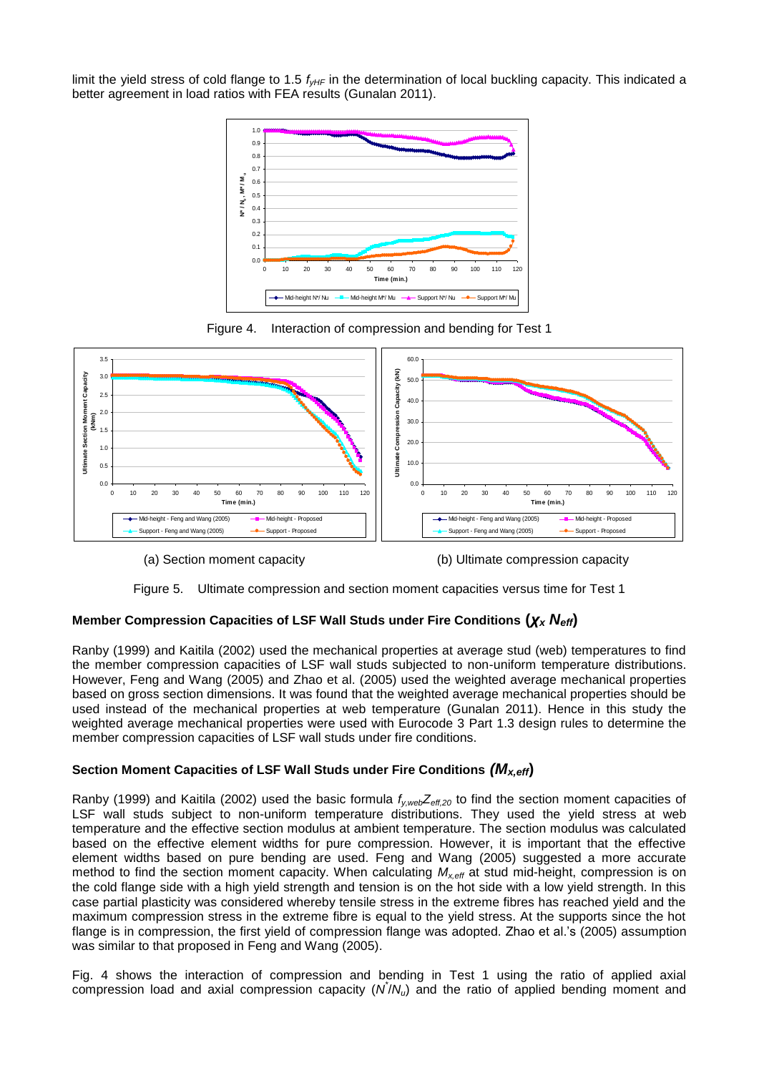limit the yield stress of cold flange to 1.5  $f_{vHF}$  in the determination of local buckling capacity. This indicated a better agreement in load ratios with FEA results (Gunalan 2011).









(a) Section moment capacity (b) Ultimate compression capacity



# **Member Compression Capacities of LSF Wall Studs under Fire Conditions (***χ<sup>x</sup> Neff***)**

Ranby (1999) and Kaitila (2002) used the mechanical properties at average stud (web) temperatures to find the member compression capacities of LSF wall studs subjected to non-uniform temperature distributions. However, Feng and Wang (2005) and Zhao et al. (2005) used the weighted average mechanical properties based on gross section dimensions. It was found that the weighted average mechanical properties should be used instead of the mechanical properties at web temperature (Gunalan 2011). Hence in this study the weighted average mechanical properties were used with Eurocode 3 Part 1.3 design rules to determine the member compression capacities of LSF wall studs under fire conditions.

# **Section Moment Capacities of LSF Wall Studs under Fire Conditions** *(Mx,eff***)**

Ranby (1999) and Kaitila (2002) used the basic formula *fy,webZeff,20* to find the section moment capacities of LSF wall studs subject to non-uniform temperature distributions. They used the yield stress at web temperature and the effective section modulus at ambient temperature. The section modulus was calculated based on the effective element widths for pure compression. However, it is important that the effective element widths based on pure bending are used. Feng and Wang (2005) suggested a more accurate method to find the section moment capacity. When calculating *Mx,eff* at stud mid-height, compression is on the cold flange side with a high yield strength and tension is on the hot side with a low yield strength. In this case partial plasticity was considered whereby tensile stress in the extreme fibres has reached yield and the maximum compression stress in the extreme fibre is equal to the yield stress. At the supports since the hot flange is in compression, the first yield of compression flange was adopted. Zhao et al.'s (2005) assumption was similar to that proposed in Feng and Wang (2005).

Fig. 4 shows the interaction of compression and bending in Test 1 using the ratio of applied axial compression load and axial compression capacity (N/Nu) and the ratio of applied bending moment and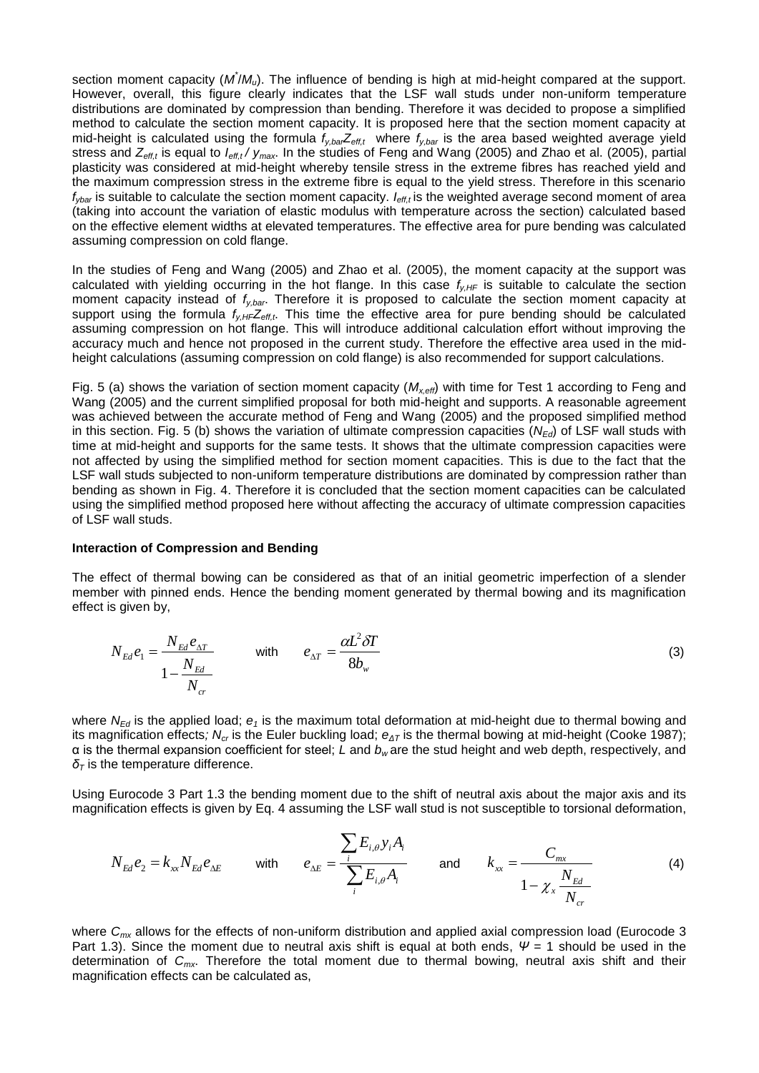section moment capacity ( $M^{\dagger}/M_{\omega}$ ). The influence of bending is high at mid-height compared at the support. However, overall, this figure clearly indicates that the LSF wall studs under non-uniform temperature distributions are dominated by compression than bending. Therefore it was decided to propose a simplified method to calculate the section moment capacity. It is proposed here that the section moment capacity at mid-height is calculated using the formula *fy,barZeff,t* where *fy,bar* is the area based weighted average yield stress and *Zeff,t* is equal to *Ieff,t / ymax*. In the studies of Feng and Wang (2005) and Zhao et al. (2005), partial plasticity was considered at mid-height whereby tensile stress in the extreme fibres has reached yield and the maximum compression stress in the extreme fibre is equal to the yield stress. Therefore in this scenario *fybar* is suitable to calculate the section moment capacity. *Ieff,t* is the weighted average second moment of area (taking into account the variation of elastic modulus with temperature across the section) calculated based on the effective element widths at elevated temperatures. The effective area for pure bending was calculated assuming compression on cold flange.

In the studies of Feng and Wang (2005) and Zhao et al. (2005), the moment capacity at the support was calculated with yielding occurring in the hot flange. In this case  $f_{y,HF}$  is suitable to calculate the section moment capacity instead of *fy,bar* . Therefore it is proposed to calculate the section moment capacity at support using the formula  $f_{V,H}Z_{\text{eff},t}$ . This time the effective area for pure bending should be calculated assuming compression on hot flange. This will introduce additional calculation effort without improving the accuracy much and hence not proposed in the current study. Therefore the effective area used in the midheight calculations (assuming compression on cold flange) is also recommended for support calculations.

Fig. 5 (a) shows the variation of section moment capacity (*Mx,eff*) with time for Test 1 according to Feng and Wang (2005) and the current simplified proposal for both mid-height and supports. A reasonable agreement was achieved between the accurate method of Feng and Wang (2005) and the proposed simplified method in this section. Fig. 5 (b) shows the variation of ultimate compression capacities (*NEd*) of LSF wall studs with time at mid-height and supports for the same tests. It shows that the ultimate compression capacities were not affected by using the simplified method for section moment capacities. This is due to the fact that the LSF wall studs subjected to non-uniform temperature distributions are dominated by compression rather than bending as shown in Fig. 4. Therefore it is concluded that the section moment capacities can be calculated using the simplified method proposed here without affecting the accuracy of ultimate compression capacities of LSF wall studs.

### **Interaction of Compression and Bending**

The effect of thermal bowing can be considered as that of an initial geometric imperfection of a slender member with pinned ends. Hence the bending moment generated by thermal bowing and its magnification effect is given by,

$$
N_{Ed}e_1 = \frac{N_{Ed}e_{\Delta T}}{1 - \frac{N_{Ed}}{N_{cr}}}
$$
 with  $e_{\Delta T} = \frac{\alpha L^2 \delta T}{8b_w}$  (3)

where  $N_{Eq}$  is the applied load;  $e_1$  is the maximum total deformation at mid-height due to thermal bowing and its magnification effects*; Ncr* is the Euler buckling load; *eΔT* is the thermal bowing at mid-height (Cooke 1987); α is the thermal expansion coefficient for steel; *L* and *b<sup>w</sup>* are the stud height and web depth, respectively, and *δ<sup>T</sup>* is the temperature difference.

Using Eurocode 3 Part 1.3 the bending moment due to the shift of neutral axis about the major axis and its magnification effects is given by Eq. 4 assuming the LSF wall stud is not susceptible to torsional deformation,

$$
N_{Ed}e_2 = k_{xx}N_{Ed}e_{\Delta E} \quad \text{with} \quad e_{\Delta E} = \frac{\sum_{i} E_{i,\theta} y_i A_i}{\sum_{i} E_{i,\theta} A_i} \quad \text{and} \quad k_{xx} = \frac{C_{mx}}{1 - \chi_x \frac{N_{Ed}}{N_{cr}}} \tag{4}
$$

where *Cmx* allows for the effects of non-uniform distribution and applied axial compression load (Eurocode 3 Part 1.3). Since the moment due to neutral axis shift is equal at both ends,  $\Psi = 1$  should be used in the determination of *Cmx*. Therefore the total moment due to thermal bowing, neutral axis shift and their magnification effects can be calculated as,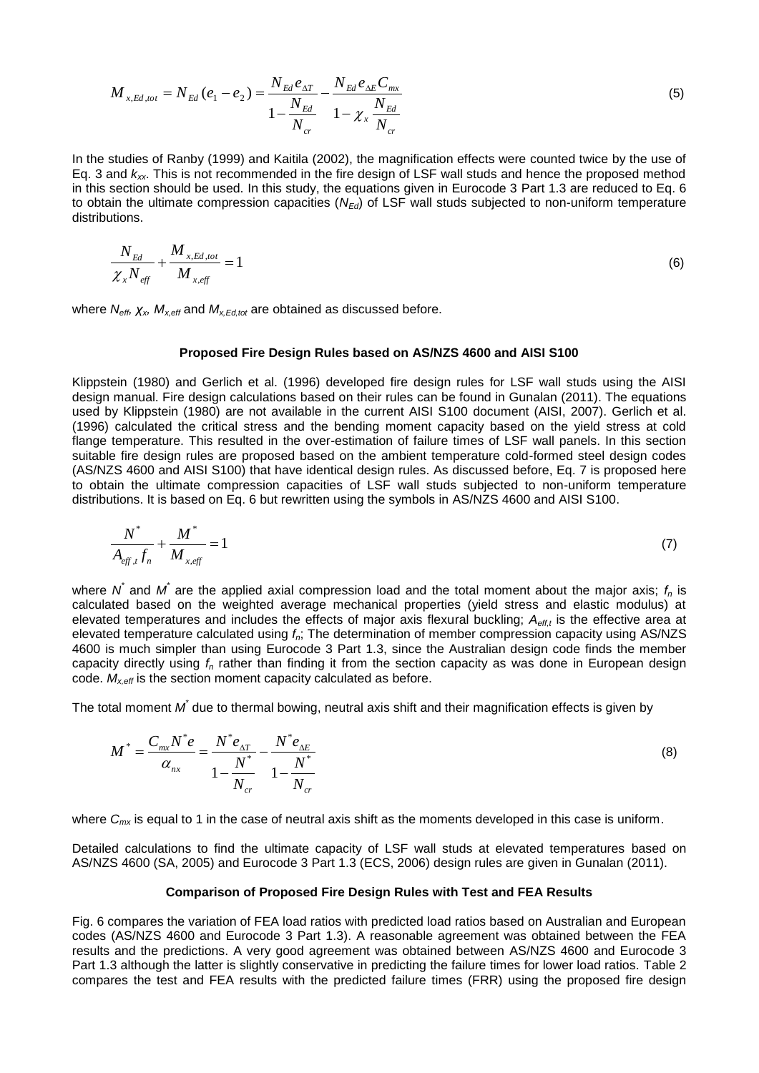$$
M_{x,Ed,tot} = N_{Ed} (e_1 - e_2) = \frac{N_{Ed} e_{\Delta T}}{1 - \frac{N_{Ed}}{N_{cr}}} - \frac{N_{Ed} e_{\Delta E} C_{mx}}{1 - \chi_x \frac{N_{Ed}}{N_{cr}}}
$$
(5)

In the studies of Ranby (1999) and Kaitila (2002), the magnification effects were counted twice by the use of Eq. 3 and *kxx*. This is not recommended in the fire design of LSF wall studs and hence the proposed method in this section should be used. In this study, the equations given in Eurocode 3 Part 1.3 are reduced to Eq. 6 to obtain the ultimate compression capacities (*NEd*) of LSF wall studs subjected to non-uniform temperature distributions.

$$
\frac{N_{Ed}}{\chi_x N_{\text{eff}}} + \frac{M_{x, Ed, tot}}{M_{x, \text{eff}}} = 1
$$
\n(6)

where *Neff, χx, Mx,eff* and *Mx,Ed,tot* are obtained as discussed before.

#### **Proposed Fire Design Rules based on AS/NZS 4600 and AISI S100**

Klippstein (1980) and Gerlich et al. (1996) developed fire design rules for LSF wall studs using the AISI design manual. Fire design calculations based on their rules can be found in Gunalan (2011). The equations used by Klippstein (1980) are not available in the current AISI S100 document (AISI, 2007). Gerlich et al. (1996) calculated the critical stress and the bending moment capacity based on the yield stress at cold flange temperature. This resulted in the over-estimation of failure times of LSF wall panels. In this section suitable fire design rules are proposed based on the ambient temperature cold-formed steel design codes (AS/NZS 4600 and AISI S100) that have identical design rules. As discussed before, Eq. 7 is proposed here to obtain the ultimate compression capacities of LSF wall studs subjected to non-uniform temperature distributions. It is based on Eq. 6 but rewritten using the symbols in AS/NZS 4600 and AISI S100.

$$
\frac{N^*}{A_{\text{eff},t}f_n} + \frac{M^*}{M_{x,\text{eff}}} = 1\tag{7}
$$

where  $N$ <sup>\*</sup> and  $M$ <sup>\*</sup> are the applied axial compression load and the total moment about the major axis;  $f_n$  is calculated based on the weighted average mechanical properties (yield stress and elastic modulus) at elevated temperatures and includes the effects of major axis flexural buckling; *Aeff,t* is the effective area at elevated temperature calculated using *fn*; The determination of member compression capacity using AS/NZS 4600 is much simpler than using Eurocode 3 Part 1.3, since the Australian design code finds the member capacity directly using *f<sup>n</sup>* rather than finding it from the section capacity as was done in European design code. *Mx,eff* is the section moment capacity calculated as before.

The total moment  $M^*$  due to thermal bowing, neutral axis shift and their magnification effects is given by

$$
M^* = \frac{C_{mx}N^*e}{\alpha_{nx}} = \frac{N^*e_{\Delta T}}{1 - \frac{N^*}{N_{cr}}} - \frac{N^*e_{\Delta E}}{1 - \frac{N^*}{N_{cr}}}
$$
(8)

where  $C_{mx}$  is equal to 1 in the case of neutral axis shift as the moments developed in this case is uniform.

Detailed calculations to find the ultimate capacity of LSF wall studs at elevated temperatures based on AS/NZS 4600 (SA, 2005) and Eurocode 3 Part 1.3 (ECS, 2006) design rules are given in Gunalan (2011).

### **Comparison of Proposed Fire Design Rules with Test and FEA Results**

Fig. 6 compares the variation of FEA load ratios with predicted load ratios based on Australian and European codes (AS/NZS 4600 and Eurocode 3 Part 1.3). A reasonable agreement was obtained between the FEA results and the predictions. A very good agreement was obtained between AS/NZS 4600 and Eurocode 3 Part 1.3 although the latter is slightly conservative in predicting the failure times for lower load ratios. Table 2 compares the test and FEA results with the predicted failure times (FRR) using the proposed fire design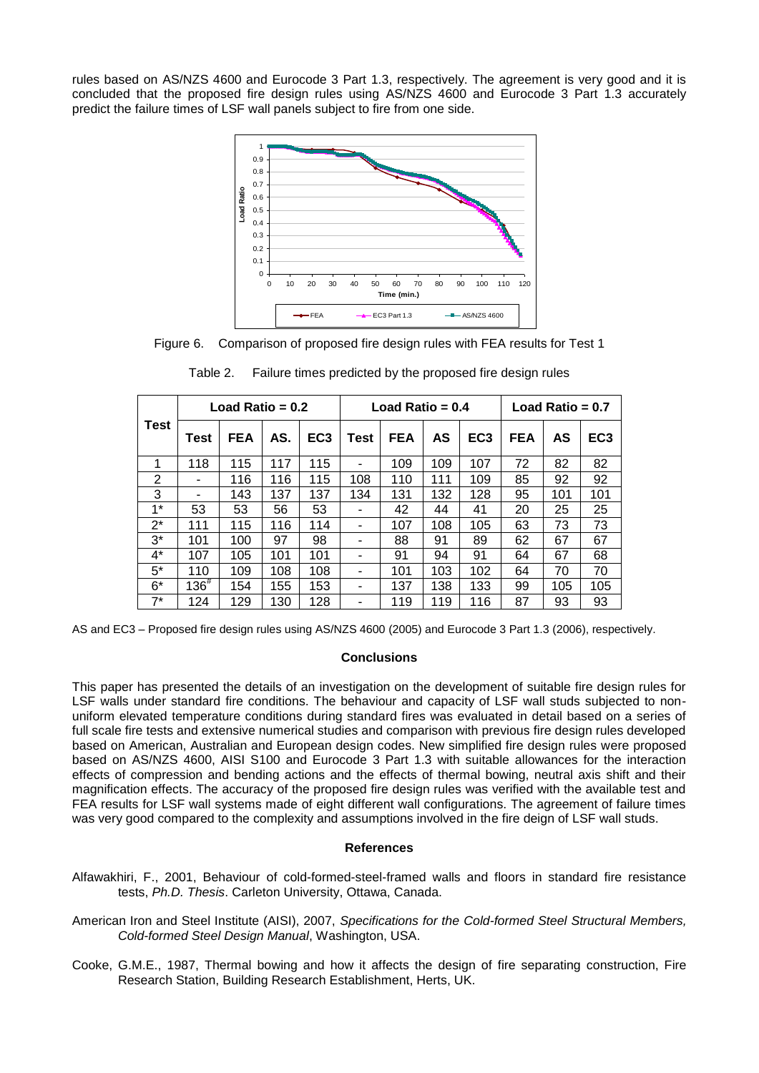rules based on AS/NZS 4600 and Eurocode 3 Part 1.3, respectively. The agreement is very good and it is concluded that the proposed fire design rules using AS/NZS 4600 and Eurocode 3 Part 1.3 accurately predict the failure times of LSF wall panels subject to fire from one side.



Figure 6. Comparison of proposed fire design rules with FEA results for Test 1

| <b>Test</b> | Load Ratio = $0.2$ |            |     |                 | Load Ratio = $0.4$ |            |     | Load Ratio = $0.7$ |     |     |                 |
|-------------|--------------------|------------|-----|-----------------|--------------------|------------|-----|--------------------|-----|-----|-----------------|
|             | Test               | <b>FEA</b> | AS. | EC <sub>3</sub> | Test               | <b>FEA</b> | AS  | EC <sub>3</sub>    | FEA | AS  | EC <sub>3</sub> |
| 1           | 118                | 115        | 117 | 115             | -                  | 109        | 109 | 107                | 72  | 82  | 82              |
| 2           | -                  | 116        | 116 | 115             | 108                | 110        | 111 | 109                | 85  | 92  | 92              |
| 3           | -                  | 143        | 137 | 137             | 134                | 131        | 132 | 128                | 95  | 101 | 101             |
| $1*$        | 53                 | 53         | 56  | 53              |                    | 42         | 44  | 41                 | 20  | 25  | 25              |
| $2^*$       | 111                | 115        | 116 | 114             | ۰                  | 107        | 108 | 105                | 63  | 73  | 73              |
| $3^*$       | 101                | 100        | 97  | 98              | ٠                  | 88         | 91  | 89                 | 62  | 67  | 67              |
| $4^*$       | 107                | 105        | 101 | 101             |                    | 91         | 94  | 91                 | 64  | 67  | 68              |
| 5*          | 110                | 109        | 108 | 108             | ۰                  | 101        | 103 | 102                | 64  | 70  | 70              |
| $6*$        | $136^{#}$          | 154        | 155 | 153             | -                  | 137        | 138 | 133                | 99  | 105 | 105             |
| $7^*$       | 124                | 129        | 130 | 128             |                    | 119        | 119 | 116                | 87  | 93  | 93              |

Table 2. Failure times predicted by the proposed fire design rules

AS and EC3 – Proposed fire design rules using AS/NZS 4600 (2005) and Eurocode 3 Part 1.3 (2006), respectively.

## **Conclusions**

This paper has presented the details of an investigation on the development of suitable fire design rules for LSF walls under standard fire conditions. The behaviour and capacity of LSF wall studs subjected to nonuniform elevated temperature conditions during standard fires was evaluated in detail based on a series of full scale fire tests and extensive numerical studies and comparison with previous fire design rules developed based on American, Australian and European design codes. New simplified fire design rules were proposed based on AS/NZS 4600, AISI S100 and Eurocode 3 Part 1.3 with suitable allowances for the interaction effects of compression and bending actions and the effects of thermal bowing, neutral axis shift and their magnification effects. The accuracy of the proposed fire design rules was verified with the available test and FEA results for LSF wall systems made of eight different wall configurations. The agreement of failure times was very good compared to the complexity and assumptions involved in the fire deign of LSF wall studs.

## **References**

- Alfawakhiri, F., 2001, Behaviour of cold-formed-steel-framed walls and floors in standard fire resistance tests, *Ph.D. Thesis*. Carleton University, Ottawa, Canada.
- American Iron and Steel Institute (AISI), 2007, *Specifications for the Cold-formed Steel Structural Members, Cold-formed Steel Design Manual*, Washington, USA.
- Cooke, G.M.E., 1987, Thermal bowing and how it affects the design of fire separating construction, Fire Research Station, Building Research Establishment, Herts, UK.